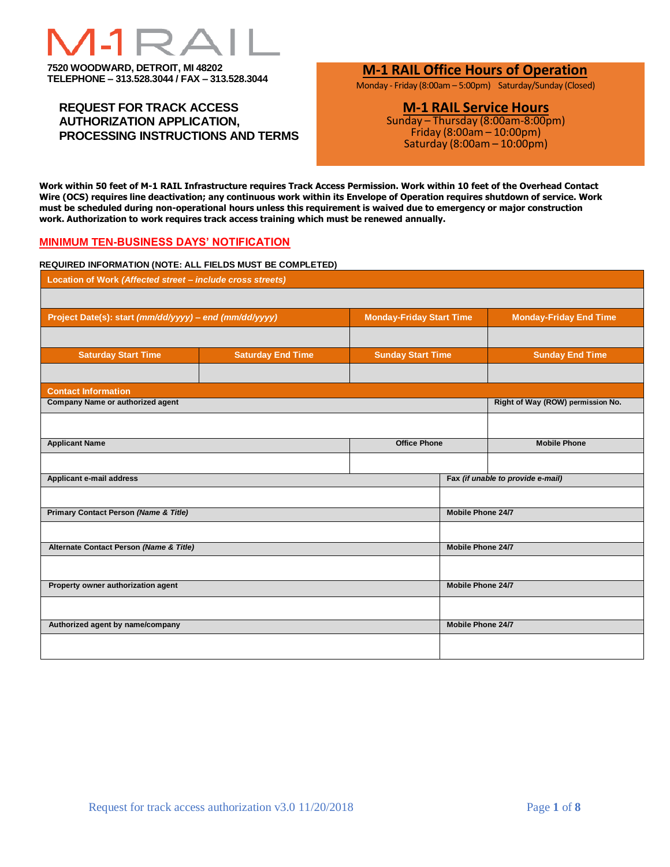# **7520 WOODWARD, DETROIT, MI 48202**

**TELEPHONE – 313.528.3044 / FAX – 313.528.3044**

## **REQUEST FOR TRACK ACCESS AUTHORIZATION APPLICATION, PROCESSING INSTRUCTIONS AND TERMS**

# **M-1 RAIL Office Hours of Operation**

Monday - Friday (8:00am – 5:00pm) Saturday/Sunday (Closed)

# **M-1 RAIL Service Hours**

Sunday – Thursday (8:00am-8:00pm) Friday (8:00am – 10:00pm) Saturday (8:00am – 10:00pm)

**Work within 50 feet of M-1 RAIL Infrastructure requires Track Access Permission. Work within 10 feet of the Overhead Contact Wire (OCS) requires line deactivation; any continuous work within its Envelope of Operation requires shutdown of service. Work must be scheduled during non-operational hours unless this requirement is waived due to emergency or major construction work. Authorization to work requires track access training which must be renewed annually.** 

#### **MINIMUM TEN-BUSINESS DAYS' NOTIFICATION**

#### **REQUIRED INFORMATION (NOTE: ALL FIELDS MUST BE COMPLETED)**

| Location of Work (Affected street - include cross streets) |                          |                                 |                                   |                                   |  |  |  |  |  |
|------------------------------------------------------------|--------------------------|---------------------------------|-----------------------------------|-----------------------------------|--|--|--|--|--|
|                                                            |                          |                                 |                                   |                                   |  |  |  |  |  |
| Project Date(s): start (mm/dd/yyyy) - end (mm/dd/yyyy)     |                          | <b>Monday-Friday Start Time</b> |                                   | <b>Monday-Friday End Time</b>     |  |  |  |  |  |
|                                                            |                          |                                 |                                   |                                   |  |  |  |  |  |
| <b>Saturday Start Time</b>                                 | <b>Saturday End Time</b> | <b>Sunday Start Time</b>        |                                   | <b>Sunday End Time</b>            |  |  |  |  |  |
|                                                            |                          |                                 |                                   |                                   |  |  |  |  |  |
| <b>Contact Information</b>                                 |                          |                                 |                                   |                                   |  |  |  |  |  |
| <b>Company Name or authorized agent</b>                    |                          |                                 | Right of Way (ROW) permission No. |                                   |  |  |  |  |  |
|                                                            |                          |                                 |                                   |                                   |  |  |  |  |  |
| <b>Applicant Name</b>                                      | <b>Office Phone</b>      |                                 | <b>Mobile Phone</b>               |                                   |  |  |  |  |  |
|                                                            |                          |                                 |                                   |                                   |  |  |  |  |  |
|                                                            |                          |                                 |                                   |                                   |  |  |  |  |  |
| Applicant e-mail address                                   |                          |                                 |                                   | Fax (if unable to provide e-mail) |  |  |  |  |  |
|                                                            |                          |                                 |                                   |                                   |  |  |  |  |  |
| <b>Primary Contact Person (Name &amp; Title)</b>           |                          | Mobile Phone 24/7               |                                   |                                   |  |  |  |  |  |
|                                                            |                          |                                 |                                   |                                   |  |  |  |  |  |
| Alternate Contact Person (Name & Title)                    |                          |                                 | Mobile Phone 24/7                 |                                   |  |  |  |  |  |
|                                                            |                          |                                 |                                   |                                   |  |  |  |  |  |
| Property owner authorization agent                         |                          |                                 | <b>Mobile Phone 24/7</b>          |                                   |  |  |  |  |  |
|                                                            |                          |                                 |                                   |                                   |  |  |  |  |  |
| Authorized agent by name/company                           |                          |                                 | Mobile Phone 24/7                 |                                   |  |  |  |  |  |
|                                                            |                          |                                 |                                   |                                   |  |  |  |  |  |
|                                                            |                          |                                 |                                   |                                   |  |  |  |  |  |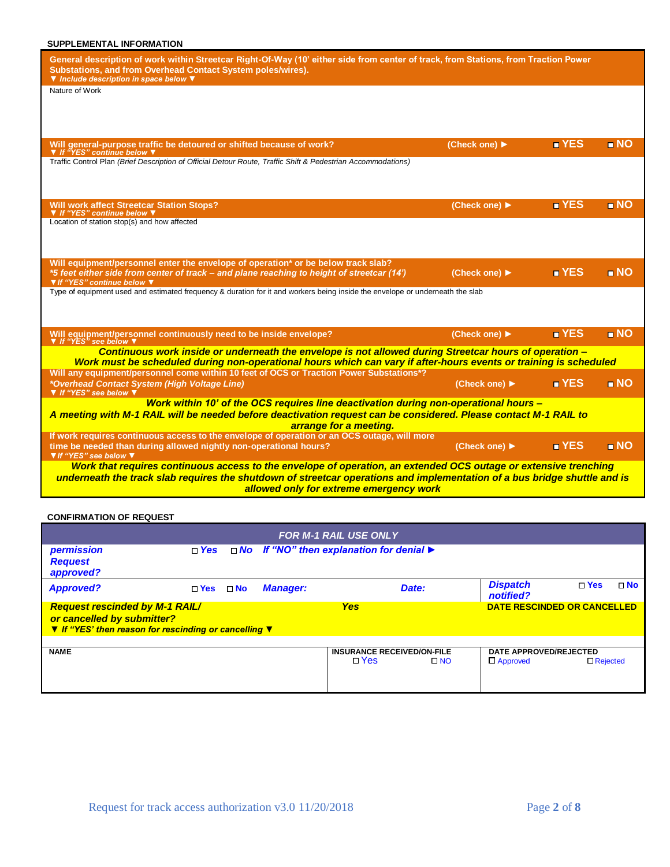#### **SUPPLEMENTAL INFORMATION**

| General description of work within Streetcar Right-Of-Way (10' either side from center of track, from Stations, from Traction Power<br>Substations, and from Overhead Contact System poles/wires).<br>▼ Include description in space below ▼  |                                   |                    |                   |  |  |  |  |  |  |
|-----------------------------------------------------------------------------------------------------------------------------------------------------------------------------------------------------------------------------------------------|-----------------------------------|--------------------|-------------------|--|--|--|--|--|--|
| Nature of Work                                                                                                                                                                                                                                |                                   |                    |                   |  |  |  |  |  |  |
| Will general-purpose traffic be detoured or shifted because of work?<br>▼ If "YES" continue below ▼                                                                                                                                           | (Check one) ▶                     | $\blacksquare$ YES | $\blacksquare$ NO |  |  |  |  |  |  |
| Traffic Control Plan (Brief Description of Official Detour Route, Traffic Shift & Pedestrian Accommodations)                                                                                                                                  |                                   |                    |                   |  |  |  |  |  |  |
| <b>Will work affect Streetcar Station Stops?</b><br>▼ If "YES" continue below \                                                                                                                                                               | (Check one) ▶                     | $\blacksquare$ YES | $\blacksquare$ NO |  |  |  |  |  |  |
| Location of station stop(s) and how affected                                                                                                                                                                                                  |                                   |                    |                   |  |  |  |  |  |  |
| Will equipment/personnel enter the envelope of operation* or be below track slab?<br>*5 feet either side from center of track – and plane reaching to height of streetcar (14')<br>▼ If "YES" continue below ▼                                | (Check one) ▶                     | $\blacksquare$ YES | $\blacksquare$ NO |  |  |  |  |  |  |
| Type of equipment used and estimated frequency & duration for it and workers being inside the envelope or underneath the slab                                                                                                                 |                                   |                    |                   |  |  |  |  |  |  |
| Will equipment/personnel continuously need to be inside envelope?<br>▼ If "YES" see below ▼                                                                                                                                                   | (Check one) ▶                     | $\blacksquare$ YES | $\blacksquare$ NO |  |  |  |  |  |  |
| Continuous work inside or underneath the envelope is not allowed during Streetcar hours of operation -<br>Work must be scheduled during non-operational hours which can vary if after-hours events or training is scheduled                   |                                   |                    |                   |  |  |  |  |  |  |
| Will any equipment/personnel come within 10 feet of OCS or Traction Power Substations*?<br>*Overhead Contact System (High Voltage Line)<br>▼ If "YES" see below ▼                                                                             | (Check one) $\blacktriangleright$ | <b>T</b> YES       | n NO              |  |  |  |  |  |  |
| Work within 10' of the OCS requires line deactivation during non-operational hours -<br>A meeting with M-1 RAIL will be needed before deactivation request can be considered. Please contact M-1 RAIL to<br>arrange for a meeting.            |                                   |                    |                   |  |  |  |  |  |  |
| If work requires continuous access to the envelope of operation or an OCS outage, will more<br>time be needed than during allowed nightly non-operational hours?<br>▼ If "YES" see below ▼                                                    | (Check one) ▶                     | <b>N</b> YES       | $\blacksquare$ NO |  |  |  |  |  |  |
| Work that requires continuous access to the envelope of operation, an extended OCS outage or extensive trenching<br>underneath the track slab requires the shutdown of streetcar operations and implementation of a bus bridge shuttle and is |                                   |                    |                   |  |  |  |  |  |  |

*allowed only for extreme emergency work*

#### **CONFIRMATION OF REQUEST**

| <b>FOR M-1 RAIL USE ONLY</b>                                                                                                                                                     |       |              |                 |                                                                    |                                           |                 |           |  |  |  |  |
|----------------------------------------------------------------------------------------------------------------------------------------------------------------------------------|-------|--------------|-----------------|--------------------------------------------------------------------|-------------------------------------------|-----------------|-----------|--|--|--|--|
| permission<br><b>Request</b><br>approved?                                                                                                                                        | □ Yes |              |                 | □ No If "NO" then explanation for denial ▶                         |                                           |                 |           |  |  |  |  |
| <b>Approved?</b>                                                                                                                                                                 | □ Yes | $\square$ No | <b>Manager:</b> | Date:                                                              | <b>Dispatch</b><br>notified?              | $\square$ Yes   | $\Box$ No |  |  |  |  |
| <b>Request rescinded by M-1 RAIL/</b><br><b>Yes</b><br><b>DATE RESCINDED OR CANCELLED</b><br>or cancelled by submitter?<br>▼ If "YES' then reason for rescinding or cancelling ▼ |       |              |                 |                                                                    |                                           |                 |           |  |  |  |  |
| <b>NAME</b>                                                                                                                                                                      |       |              |                 | <b>INSURANCE RECEIVED/ON-FILE</b><br>$\square$ Yes<br>$\square$ NO | DATE APPROVED/REJECTED<br>$\Box$ Approved | $\Box$ Rejected |           |  |  |  |  |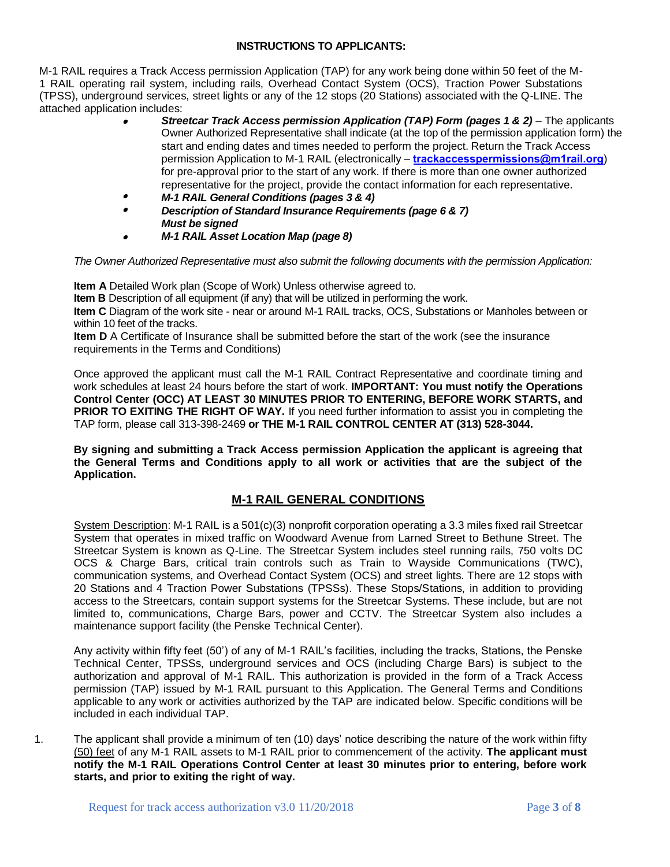#### **INSTRUCTIONS TO APPLICANTS:**

M-1 RAIL requires a Track Access permission Application (TAP) for any work being done within 50 feet of the M-1 RAIL operating rail system, including rails, Overhead Contact System (OCS), Traction Power Substations (TPSS), underground services, street lights or any of the 12 stops (20 Stations) associated with the Q-LINE. The attached application includes:

- •*Streetcar Track Access permission Application (TAP) Form (pages 1 & 2) – The applicants* Owner Authorized Representative shall indicate (at the top of the permission application form) the start and ending dates and times needed to perform the project. Return the Track Access permission Application to M-1 [RAIL \(electronically –](mailto:roy.bryans@m1rail.org) **[trackaccesspermissions@m1ra](mailto:trackaccesspermits@m1rail.org)il.org**) for pre-approval prior to the start of any work. If there is more than one owner authorized representative for the project, provide the contact information for each representative.
- •*M-1 RAIL General Conditions (pages 3 & 4)*
- •*Description of Standard Insurance Requirements (page 6 & 7) Must be signed*
- •*M-1 RAIL Asset Location Map (page 8)*

*The Owner Authorized Representative must also submit the following documents with the permission Application:*

**Item A** Detailed Work plan (Scope of Work) Unless otherwise agreed to.

**Item B** Description of all equipment (if any) that will be utilized in performing the work.

**Item C** Diagram of the work site - near or around M-1 RAIL tracks, OCS, Substations or Manholes between or within 10 feet of the tracks.

**Item D** A Certificate of Insurance shall be submitted before the start of the work (see the insurance requirements in the Terms and Conditions)

Once approved the applicant must call the M-1 RAIL Contract Representative and coordinate timing and work schedules at least 24 hours before the start of work. **IMPORTANT: You must notify the Operations Control Center (OCC) AT LEAST 30 MINUTES PRIOR TO ENTERING, BEFORE WORK STARTS, and PRIOR TO EXITING THE RIGHT OF WAY.** If you need further information to assist you in completing the TAP form, please call 313-398-2469 **or THE M-1 RAIL CONTROL CENTER AT (313) 528-3044.**

**By signing and submitting a Track Access permission Application the applicant is agreeing that the General Terms and Conditions apply to all work or activities that are the subject of the Application.**

## **M-1 RAIL GENERAL CONDITIONS**

System Description: M-1 RAIL is a 501(c)(3) nonprofit corporation operating a 3.3 miles fixed rail Streetcar System that operates in mixed traffic on Woodward Avenue from Larned Street to Bethune Street. The Streetcar System is known as Q-Line. The Streetcar System includes steel running rails, 750 volts DC OCS & Charge Bars, critical train controls such as Train to Wayside Communications (TWC), communication systems, and Overhead Contact System (OCS) and street lights. There are 12 stops with 20 Stations and 4 Traction Power Substations (TPSSs). These Stops/Stations, in addition to providing access to the Streetcars, contain support systems for the Streetcar Systems. These include, but are not limited to, communications, Charge Bars, power and CCTV. The Streetcar System also includes a maintenance support facility (the Penske Technical Center).

Any activity within fifty feet (50') of any of M-1 RAIL's facilities, including the tracks, Stations, the Penske Technical Center, TPSSs, underground services and OCS (including Charge Bars) is subject to the authorization and approval of M-1 RAIL. This authorization is provided in the form of a Track Access permission (TAP) issued by M-1 RAIL pursuant to this Application. The General Terms and Conditions applicable to any work or activities authorized by the TAP are indicated below. Specific conditions will be included in each individual TAP.

1. The applicant shall provide a minimum of ten (10) days' notice describing the nature of the work within fifty (50) feet of any M-1 RAIL assets to M-1 RAIL prior to commencement of the activity. **The applicant must notify the M-1 RAIL Operations Control Center at least 30 minutes prior to entering, before work starts, and prior to exiting the right of way.**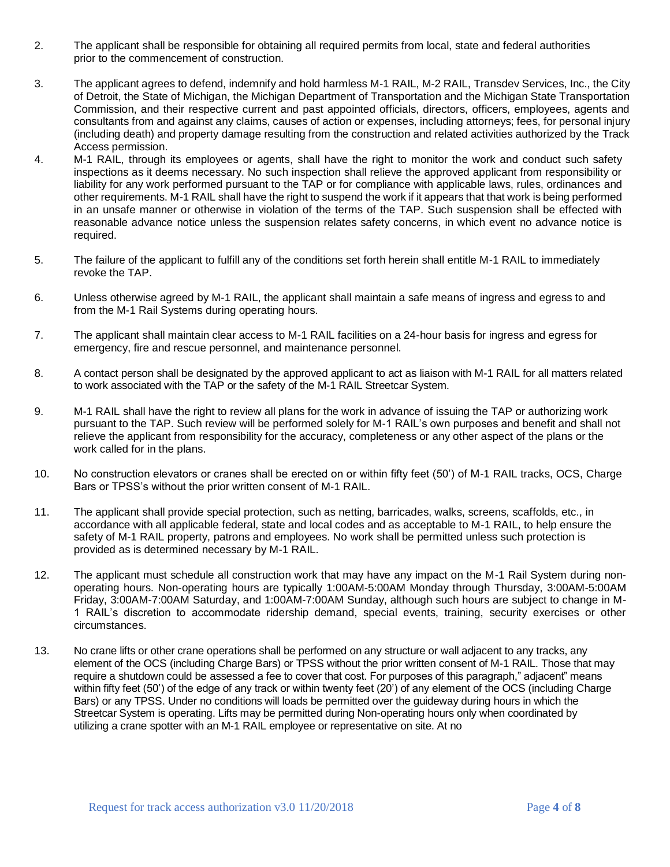- 2. The applicant shall be responsible for obtaining all required permits from local, state and federal authorities prior to the commencement of construction.
- 3. The applicant agrees to defend, indemnify and hold harmless M-1 RAIL, M-2 RAIL, Transdev Services, Inc., the City of Detroit, the State of Michigan, the Michigan Department of Transportation and the Michigan State Transportation Commission, and their respective current and past appointed officials, directors, officers, employees, agents and consultants from and against any claims, causes of action or expenses, including attorneys; fees, for personal injury (including death) and property damage resulting from the construction and related activities authorized by the Track Access permission.
- 4. M-1 RAIL, through its employees or agents, shall have the right to monitor the work and conduct such safety inspections as it deems necessary. No such inspection shall relieve the approved applicant from responsibility or liability for any work performed pursuant to the TAP or for compliance with applicable laws, rules, ordinances and other requirements. M-1 RAIL shall have the right to suspend the work if it appears that that work is being performed in an unsafe manner or otherwise in violation of the terms of the TAP. Such suspension shall be effected with reasonable advance notice unless the suspension relates safety concerns, in which event no advance notice is required.
- 5. The failure of the applicant to fulfill any of the conditions set forth herein shall entitle M-1 RAIL to immediately revoke the TAP.
- 6. Unless otherwise agreed by M-1 RAIL, the applicant shall maintain a safe means of ingress and egress to and from the M-1 Rail Systems during operating hours.
- 7. The applicant shall maintain clear access to M-1 RAIL facilities on a 24-hour basis for ingress and egress for emergency, fire and rescue personnel, and maintenance personnel.
- 8. A contact person shall be designated by the approved applicant to act as liaison with M-1 RAIL for all matters related to work associated with the TAP or the safety of the M-1 RAIL Streetcar System.
- 9. M-1 RAIL shall have the right to review all plans for the work in advance of issuing the TAP or authorizing work pursuant to the TAP. Such review will be performed solely for M-1 RAIL's own purposes and benefit and shall not relieve the applicant from responsibility for the accuracy, completeness or any other aspect of the plans or the work called for in the plans.
- 10. No construction elevators or cranes shall be erected on or within fifty feet (50') of M-1 RAIL tracks, OCS, Charge Bars or TPSS's without the prior written consent of M-1 RAIL.
- 11. The applicant shall provide special protection, such as netting, barricades, walks, screens, scaffolds, etc., in accordance with all applicable federal, state and local codes and as acceptable to M-1 RAIL, to help ensure the safety of M-1 RAIL property, patrons and employees. No work shall be permitted unless such protection is provided as is determined necessary by M-1 RAIL.
- 12. The applicant must schedule all construction work that may have any impact on the M-1 Rail System during nonoperating hours. Non-operating hours are typically 1:00AM-5:00AM Monday through Thursday, 3:00AM-5:00AM Friday, 3:00AM-7:00AM Saturday, and 1:00AM-7:00AM Sunday, although such hours are subject to change in M-1 RAIL's discretion to accommodate ridership demand, special events, training, security exercises or other circumstances.
- 13. No crane lifts or other crane operations shall be performed on any structure or wall adjacent to any tracks, any element of the OCS (including Charge Bars) or TPSS without the prior written consent of M-1 RAIL. Those that may require a shutdown could be assessed a fee to cover that cost. For purposes of this paragraph," adjacent" means within fifty feet (50') of the edge of any track or within twenty feet (20') of any element of the OCS (including Charge Bars) or any TPSS. Under no conditions will loads be permitted over the guideway during hours in which the Streetcar System is operating. Lifts may be permitted during Non-operating hours only when coordinated by utilizing a crane spotter with an M-1 RAIL employee or representative on site. At no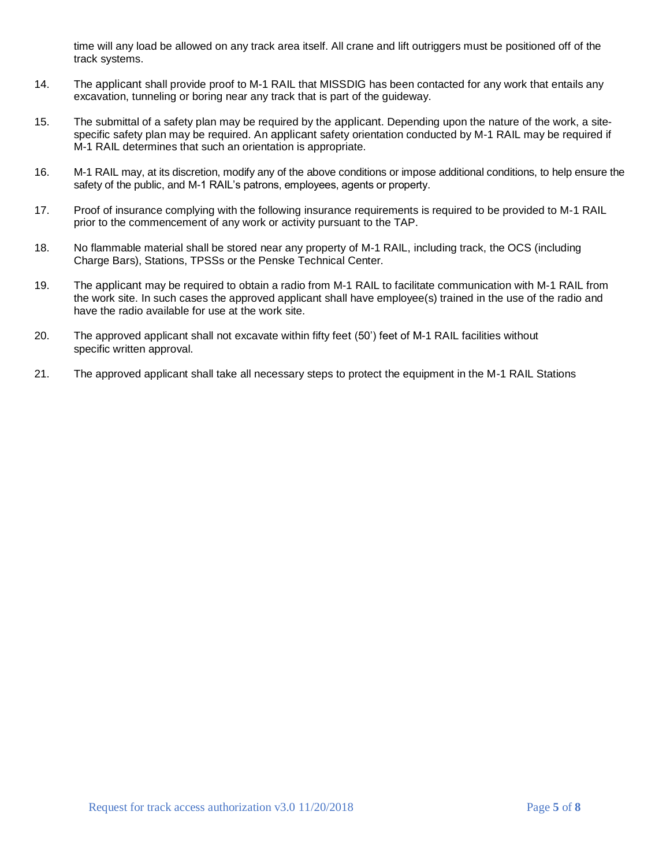time will any load be allowed on any track area itself. All crane and lift outriggers must be positioned off of the track systems.

- 14. The applicant shall provide proof to M-1 RAIL that MISSDIG has been contacted for any work that entails any excavation, tunneling or boring near any track that is part of the guideway.
- 15. The submittal of a safety plan may be required by the applicant. Depending upon the nature of the work, a sitespecific safety plan may be required. An applicant safety orientation conducted by M-1 RAIL may be required if M-1 RAIL determines that such an orientation is appropriate.
- 16. M-1 RAIL may, at its discretion, modify any of the above conditions or impose additional conditions, to help ensure the safety of the public, and M-1 RAIL's patrons, employees, agents or property.
- 17. Proof of insurance complying with the following insurance requirements is required to be provided to M-1 RAIL prior to the commencement of any work or activity pursuant to the TAP.
- 18. No flammable material shall be stored near any property of M-1 RAIL, including track, the OCS (including Charge Bars), Stations, TPSSs or the Penske Technical Center.
- 19. The applicant may be required to obtain a radio from M-1 RAIL to facilitate communication with M-1 RAIL from the work site. In such cases the approved applicant shall have employee(s) trained in the use of the radio and have the radio available for use at the work site.
- 20. The approved applicant shall not excavate within fifty feet (50') feet of M-1 RAIL facilities without specific written approval.
- 21. The approved applicant shall take all necessary steps to protect the equipment in the M-1 RAIL Stations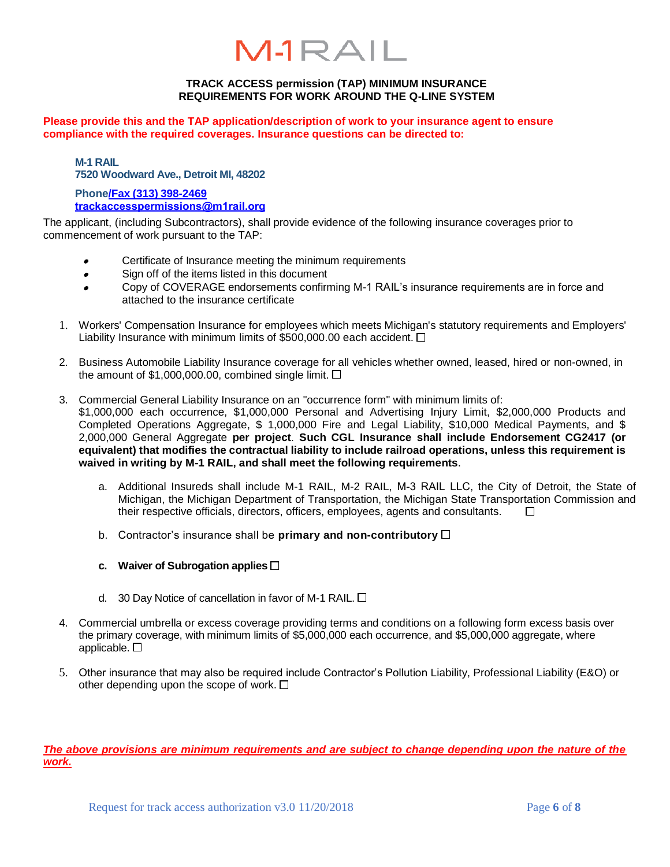# $M1RAIL$

#### **TRACK ACCESS permission (TAP) MINIMUM INSURANCE REQUIREMENTS FOR WORK AROUND THE Q-LINE SYSTEM**

**Please provide this and the TAP application/description of work to your insurance agent to ensure compliance with the required coverages. Insurance questions can be directed to:**

**M-1 RAIL 7520 Woodward Ave., Detroit MI, 48202**

**Phon[e/Fax \(313\)](mailto:roy.bryans@m1rail.org) 398-2469 [trackaccesspermissions@m1rail](mailto:trackaccesspermits@m1rail.org).org**

The applicant, (including Subcontractors), shall provide evidence of the following insurance coverages prior to commencement of work pursuant to the TAP:

- •Certificate of Insurance meeting the minimum requirements
- •Sign off of the items listed in this document
- • Copy of COVERAGE endorsements confirming M-1 RAIL's insurance requirements are in force and attached to the insurance certificate
- 1. Workers' Compensation Insurance for employees which meets Michigan's statutory requirements and Employers' Liability Insurance with minimum limits of \$500,000.00 each accident.  $\Box$
- 2. Business Automobile Liability Insurance coverage for all vehicles whether owned, leased, hired or non-owned, in the amount of \$1,000,000.00, combined single limit.  $\Box$
- 3. Commercial General Liability Insurance on an "occurrence form" with minimum limits of: \$1,000,000 each occurrence, \$1,000,000 Personal and Advertising Injury Limit, \$2,000,000 Products and Completed Operations Aggregate, \$ 1,000,000 Fire and Legal Liability, \$10,000 Medical Payments, and \$ 2,000,000 General Aggregate **per project**. **Such CGL Insurance shall include Endorsement CG2417 (or equivalent) that modifies the contractual liability to include railroad operations, unless this requirement is waived in writing by M-1 RAIL, and shall meet the following requirements**.
	- a. Additional Insureds shall include M-1 RAIL, M-2 RAIL, M-3 RAIL LLC, the City of Detroit, the State of Michigan, the Michigan Department of Transportation, the Michigan State Transportation Commission and their respective officials, directors, officers, employees, agents and consultants.  $\Box$
	- b. Contractor's insurance shall be **primary and non-contributory**
	- **c. Waiver of Subrogation applies**
	- d. 30 Day Notice of cancellation in favor of M-1 RAIL.  $\Box$
- 4. Commercial umbrella or excess coverage providing terms and conditions on a following form excess basis over the primary coverage, with minimum limits of \$5,000,000 each occurrence, and \$5,000,000 aggregate, where applicable.  $\square$
- 5. Other insurance that may also be required include Contractor's Pollution Liability, Professional Liability (E&O) or other depending upon the scope of work.  $\Box$

*The above provisions are minimum requirements and are subject to change depending upon the nature of the work.*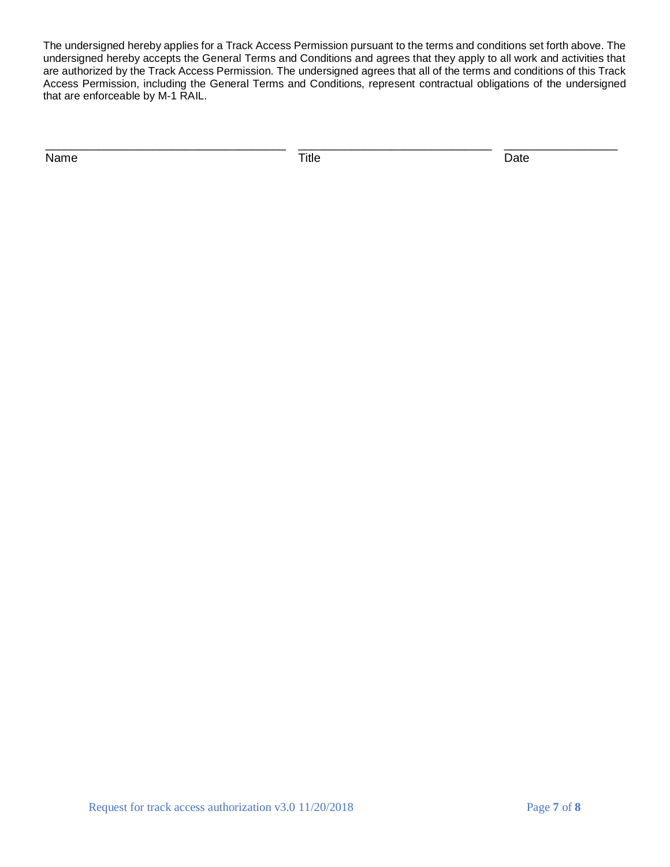The undersigned hereby applies for a Track Access Permission pursuant to the terms and conditions set forth above. The undersigned hereby accepts the General Terms and Conditions and agrees that they apply to all work and activities that are authorized by the Track Access Permission. The undersigned agrees that all of the terms and conditions of this Track Access Permission, including the General Terms and Conditions, represent contractual obligations of the undersigned that are enforceable by M-1 RAIL.

\_\_\_\_\_\_\_\_\_\_\_\_\_\_\_\_\_\_\_\_\_\_\_\_\_\_\_\_\_\_\_\_\_\_\_\_ \_\_\_\_\_\_\_\_\_\_\_\_\_\_\_\_\_\_\_\_\_\_\_\_\_\_\_\_\_ \_\_\_\_\_\_\_\_\_\_\_\_\_\_\_\_\_

Name Date Date Controller and Title Controller and Date Date